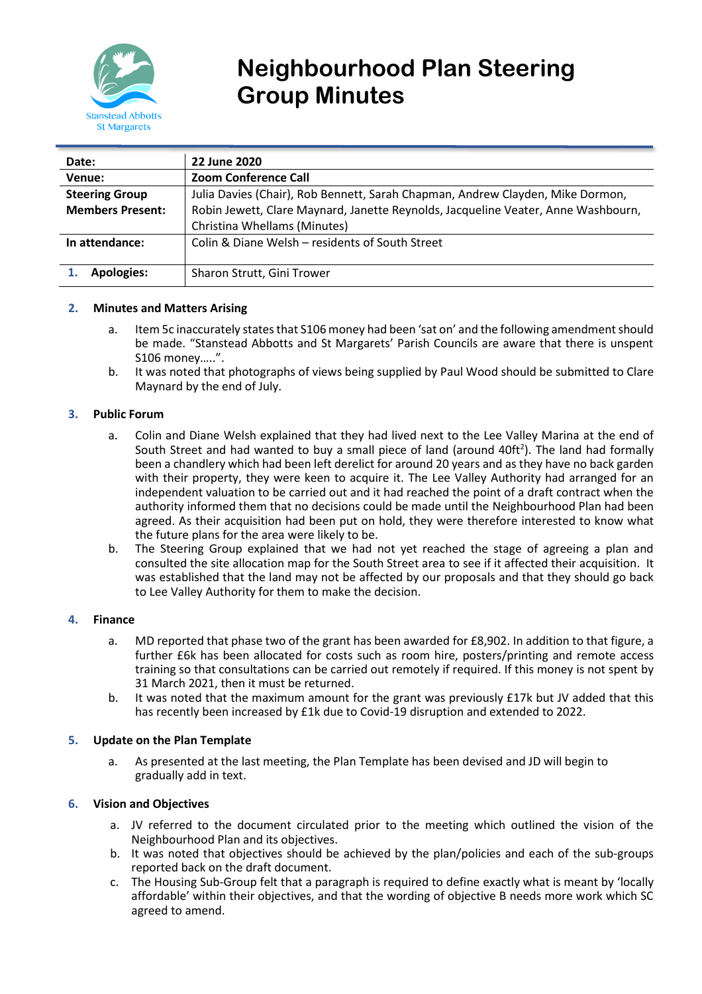

# **Neighbourhood Plan Steering Group Minutes**

| Date:                   | 22 June 2020                                                                      |
|-------------------------|-----------------------------------------------------------------------------------|
| Venue:                  | <b>Zoom Conference Call</b>                                                       |
| <b>Steering Group</b>   | Julia Davies (Chair), Rob Bennett, Sarah Chapman, Andrew Clayden, Mike Dormon,    |
| <b>Members Present:</b> | Robin Jewett, Clare Maynard, Janette Reynolds, Jacqueline Veater, Anne Washbourn, |
|                         | Christina Whellams (Minutes)                                                      |
| In attendance:          | Colin & Diane Welsh – residents of South Street                                   |
|                         |                                                                                   |
| Apologies:              | Sharon Strutt, Gini Trower                                                        |

# **2. Minutes and Matters Arising**

- a. Item 5c inaccurately states that S106 money had been 'sat on' and the following amendment should be made. "Stanstead Abbotts and St Margarets' Parish Councils are aware that there is unspent S106 money…..".
- b. It was noted that photographs of views being supplied by Paul Wood should be submitted to Clare Maynard by the end of July.

## **3. Public Forum**

- a. Colin and Diane Welsh explained that they had lived next to the Lee Valley Marina at the end of South Street and had wanted to buy a small piece of land (around 40ft<sup>2</sup>). The land had formally been a chandlery which had been left derelict for around 20 years and as they have no back garden with their property, they were keen to acquire it. The Lee Valley Authority had arranged for an independent valuation to be carried out and it had reached the point of a draft contract when the authority informed them that no decisions could be made until the Neighbourhood Plan had been agreed. As their acquisition had been put on hold, they were therefore interested to know what the future plans for the area were likely to be.
- b. The Steering Group explained that we had not yet reached the stage of agreeing a plan and consulted the site allocation map for the South Street area to see if it affected their acquisition. It was established that the land may not be affected by our proposals and that they should go back to Lee Valley Authority for them to make the decision.

## **4. Finance**

- a. MD reported that phase two of the grant has been awarded for £8,902. In addition to that figure, a further £6k has been allocated for costs such as room hire, posters/printing and remote access training so that consultations can be carried out remotely if required. If this money is not spent by 31 March 2021, then it must be returned.
- b. It was noted that the maximum amount for the grant was previously £17k but JV added that this has recently been increased by £1k due to Covid-19 disruption and extended to 2022.

## **5. Update on the Plan Template**

a. As presented at the last meeting, the Plan Template has been devised and JD will begin to gradually add in text.

## **6. Vision and Objectives**

- a. JV referred to the document circulated prior to the meeting which outlined the vision of the Neighbourhood Plan and its objectives.
- b. It was noted that objectives should be achieved by the plan/policies and each of the sub-groups reported back on the draft document.
- c. The Housing Sub-Group felt that a paragraph is required to define exactly what is meant by 'locally affordable' within their objectives, and that the wording of objective B needs more work which SC agreed to amend.